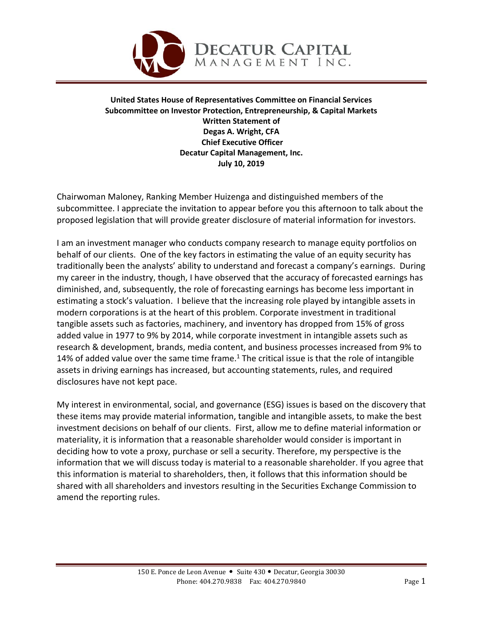

**United States House of Representatives Committee on Financial Services Subcommittee on Investor Protection, Entrepreneurship, & Capital Markets Written Statement of Degas A. Wright, CFA Chief Executive Officer Decatur Capital Management, Inc. July 10, 2019**

Chairwoman Maloney, Ranking Member Huizenga and distinguished members of the subcommittee. I appreciate the invitation to appear before you this afternoon to talk about the proposed legislation that will provide greater disclosure of material information for investors.

I am an investment manager who conducts company research to manage equity portfolios on behalf of our clients. One of the key factors in estimating the value of an equity security has traditionally been the analysts' ability to understand and forecast a company's earnings. During my career in the industry, though, I have observed that the accuracy of forecasted earnings has diminished, and, subsequently, the role of forecasting earnings has become less important in estimating a stock's valuation. I believe that the increasing role played by intangible assets in modern corporations is at the heart of this problem. Corporate investment in traditional tangible assets such as factories, machinery, and inventory has dropped from 15% of gross added value in 1977 to 9% by 2014, while corporate investment in intangible assets such as research & development, brands, media content, and business processes increased from 9% to 14% of added value over the same time frame.<sup>1</sup> The critical issue is that the role of intangible assets in driving earnings has increased, but accounting statements, rules, and required disclosures have not kept pace.

My interest in environmental, social, and governance (ESG) issues is based on the discovery that these items may provide material information, tangible and intangible assets, to make the best investment decisions on behalf of our clients. First, allow me to define material information or materiality, it is information that a reasonable shareholder would consider is important in deciding how to vote a proxy, purchase or sell a security. Therefore, my perspective is the information that we will discuss today is material to a reasonable shareholder. If you agree that this information is material to shareholders, then, it follows that this information should be shared with all shareholders and investors resulting in the Securities Exchange Commission to amend the reporting rules.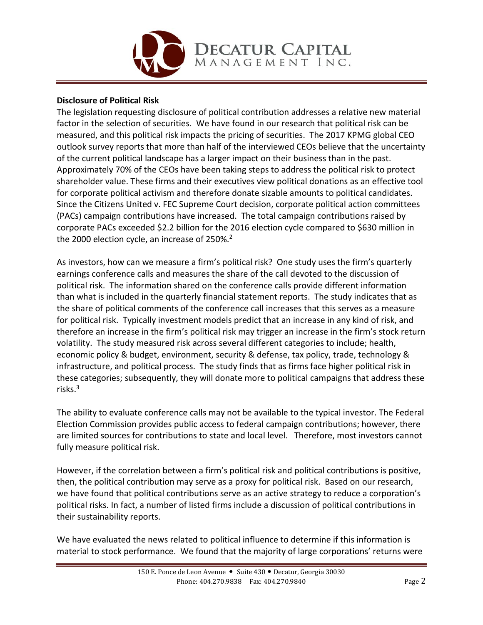

## **Disclosure of Political Risk**

The legislation requesting disclosure of political contribution addresses a relative new material factor in the selection of securities. We have found in our research that political risk can be measured, and this political risk impacts the pricing of securities. The 2017 KPMG global CEO outlook survey reports that more than half of the interviewed CEOs believe that the uncertainty of the current political landscape has a larger impact on their business than in the past. Approximately 70% of the CEOs have been taking steps to address the political risk to protect shareholder value. These firms and their executives view political donations as an effective tool for corporate political activism and therefore donate sizable amounts to political candidates. Since the Citizens United v. FEC Supreme Court decision, corporate political action committees (PACs) campaign contributions have increased. The total campaign contributions raised by corporate PACs exceeded \$2.2 billion for the 2016 election cycle compared to \$630 million in the 2000 election cycle, an increase of 250%.<sup>2</sup>

As investors, how can we measure a firm's political risk? One study uses the firm's quarterly earnings conference calls and measures the share of the call devoted to the discussion of political risk. The information shared on the conference calls provide different information than what is included in the quarterly financial statement reports. The study indicates that as the share of political comments of the conference call increases that this serves as a measure for political risk. Typically investment models predict that an increase in any kind of risk, and therefore an increase in the firm's political risk may trigger an increase in the firm's stock return volatility. The study measured risk across several different categories to include; health, economic policy & budget, environment, security & defense, tax policy, trade, technology & infrastructure, and political process. The study finds that as firms face higher political risk in these categories; subsequently, they will donate more to political campaigns that address these risks.3

The ability to evaluate conference calls may not be available to the typical investor. The Federal Election Commission provides public access to federal campaign contributions; however, there are limited sources for contributions to state and local level. Therefore, most investors cannot fully measure political risk.

However, if the correlation between a firm's political risk and political contributions is positive, then, the political contribution may serve as a proxy for political risk. Based on our research, we have found that political contributions serve as an active strategy to reduce a corporation's political risks. In fact, a number of listed firms include a discussion of political contributions in their sustainability reports.

We have evaluated the news related to political influence to determine if this information is material to stock performance. We found that the majority of large corporations' returns were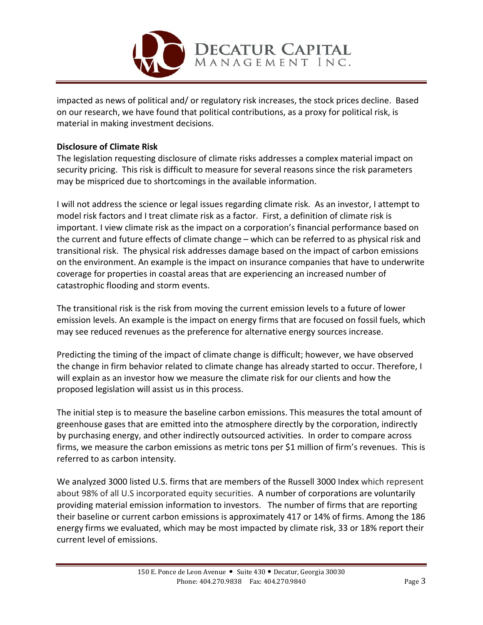

impacted as news of political and/ or regulatory risk increases, the stock prices decline. Based on our research, we have found that political contributions, as a proxy for political risk, is material in making investment decisions.

### **Disclosure of Climate Risk**

The legislation requesting disclosure of climate risks addresses a complex material impact on security pricing. This risk is difficult to measure for several reasons since the risk parameters may be mispriced due to shortcomings in the available information.

I will not address the science or legal issues regarding climate risk. As an investor, I attempt to model risk factors and I treat climate risk as a factor. First, a definition of climate risk is important. I view climate risk as the impact on a corporation's financial performance based on the current and future effects of climate change – which can be referred to as physical risk and transitional risk. The physical risk addresses damage based on the impact of carbon emissions on the environment. An example is the impact on insurance companies that have to underwrite coverage for properties in coastal areas that are experiencing an increased number of catastrophic flooding and storm events.

The transitional risk is the risk from moving the current emission levels to a future of lower emission levels. An example is the impact on energy firms that are focused on fossil fuels, which may see reduced revenues as the preference for alternative energy sources increase.

Predicting the timing of the impact of climate change is difficult; however, we have observed the change in firm behavior related to climate change has already started to occur. Therefore, I will explain as an investor how we measure the climate risk for our clients and how the proposed legislation will assist us in this process.

The initial step is to measure the baseline carbon emissions. This measures the total amount of greenhouse gases that are emitted into the atmosphere directly by the corporation, indirectly by purchasing energy, and other indirectly outsourced activities. In order to compare across firms, we measure the carbon emissions as metric tons per \$1 million of firm's revenues. This is referred to as carbon intensity.

We analyzed 3000 listed U.S. firms that are members of the Russell 3000 Index which represent about 98% of all U.S incorporated equity securities. A number of corporations are voluntarily providing material emission information to investors. The number of firms that are reporting their baseline or current carbon emissions is approximately 417 or 14% of firms. Among the 186 energy firms we evaluated, which may be most impacted by climate risk, 33 or 18% report their current level of emissions.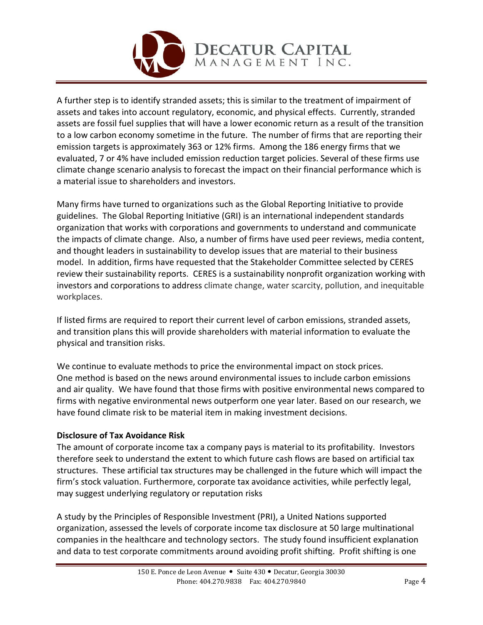

A further step is to identify stranded assets; this is similar to the treatment of impairment of assets and takes into account regulatory, economic, and physical effects. Currently, stranded assets are fossil fuel supplies that will have a lower economic return as a result of the transition to a low carbon economy sometime in the future. The number of firms that are reporting their emission targets is approximately 363 or 12% firms. Among the 186 energy firms that we evaluated, 7 or 4% have included emission reduction target policies. Several of these firms use climate change scenario analysis to forecast the impact on their financial performance which is a material issue to shareholders and investors.

Many firms have turned to organizations such as the Global Reporting Initiative to provide guidelines. The Global Reporting Initiative (GRI) is an international independent standards organization that works with corporations and governments to understand and communicate the impacts of climate change. Also, a number of firms have used peer reviews, media content, and thought leaders in sustainability to develop issues that are material to their business model. In addition, firms have requested that the Stakeholder Committee selected by CERES review their sustainability reports. CERES is a sustainability nonprofit organization working with investors and corporations to address climate change, water scarcity, pollution, and inequitable workplaces.

If listed firms are required to report their current level of carbon emissions, stranded assets, and transition plans this will provide shareholders with material information to evaluate the physical and transition risks.

We continue to evaluate methods to price the environmental impact on stock prices. One method is based on the news around environmental issues to include carbon emissions and air quality. We have found that those firms with positive environmental news compared to firms with negative environmental news outperform one year later. Based on our research, we have found climate risk to be material item in making investment decisions.

# **Disclosure of Tax Avoidance Risk**

The amount of corporate income tax a company pays is material to its profitability. Investors therefore seek to understand the extent to which future cash flows are based on artificial tax structures. These artificial tax structures may be challenged in the future which will impact the firm's stock valuation. Furthermore, corporate tax avoidance activities, while perfectly legal, may suggest underlying regulatory or reputation risks

A study by the Principles of Responsible Investment (PRI), a United Nations supported organization, assessed the levels of corporate income tax disclosure at 50 large multinational companies in the healthcare and technology sectors. The study found insufficient explanation and data to test corporate commitments around avoiding profit shifting. Profit shifting is one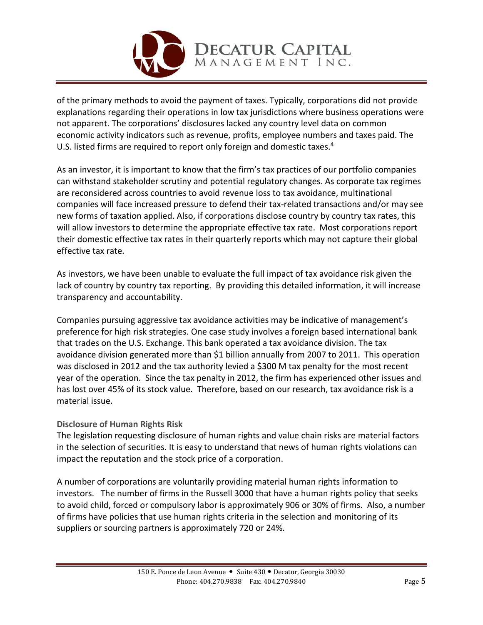

of the primary methods to avoid the payment of taxes. Typically, corporations did not provide explanations regarding their operations in low tax jurisdictions where business operations were not apparent. The corporations' disclosures lacked any country level data on common economic activity indicators such as revenue, profits, employee numbers and taxes paid. The U.S. listed firms are required to report only foreign and domestic taxes.<sup>4</sup>

As an investor, it is important to know that the firm's tax practices of our portfolio companies can withstand stakeholder scrutiny and potential regulatory changes. As corporate tax regimes are reconsidered across countries to avoid revenue loss to tax avoidance, multinational companies will face increased pressure to defend their tax-related transactions and/or may see new forms of taxation applied. Also, if corporations disclose country by country tax rates, this will allow investors to determine the appropriate effective tax rate. Most corporations report their domestic effective tax rates in their quarterly reports which may not capture their global effective tax rate.

As investors, we have been unable to evaluate the full impact of tax avoidance risk given the lack of country by country tax reporting. By providing this detailed information, it will increase transparency and accountability.

Companies pursuing aggressive tax avoidance activities may be indicative of management's preference for high risk strategies. One case study involves a foreign based international bank that trades on the U.S. Exchange. This bank operated a tax avoidance division. The tax avoidance division generated more than \$1 billion annually from 2007 to 2011. This operation was disclosed in 2012 and the tax authority levied a \$300 M tax penalty for the most recent year of the operation. Since the tax penalty in 2012, the firm has experienced other issues and has lost over 45% of its stock value. Therefore, based on our research, tax avoidance risk is a material issue.

# **Disclosure of Human Rights Risk**

The legislation requesting disclosure of human rights and value chain risks are material factors in the selection of securities. It is easy to understand that news of human rights violations can impact the reputation and the stock price of a corporation.

A number of corporations are voluntarily providing material human rights information to investors. The number of firms in the Russell 3000 that have a human rights policy that seeks to avoid child, forced or compulsory labor is approximately 906 or 30% of firms. Also, a number of firms have policies that use human rights criteria in the selection and monitoring of its suppliers or sourcing partners is approximately 720 or 24%.